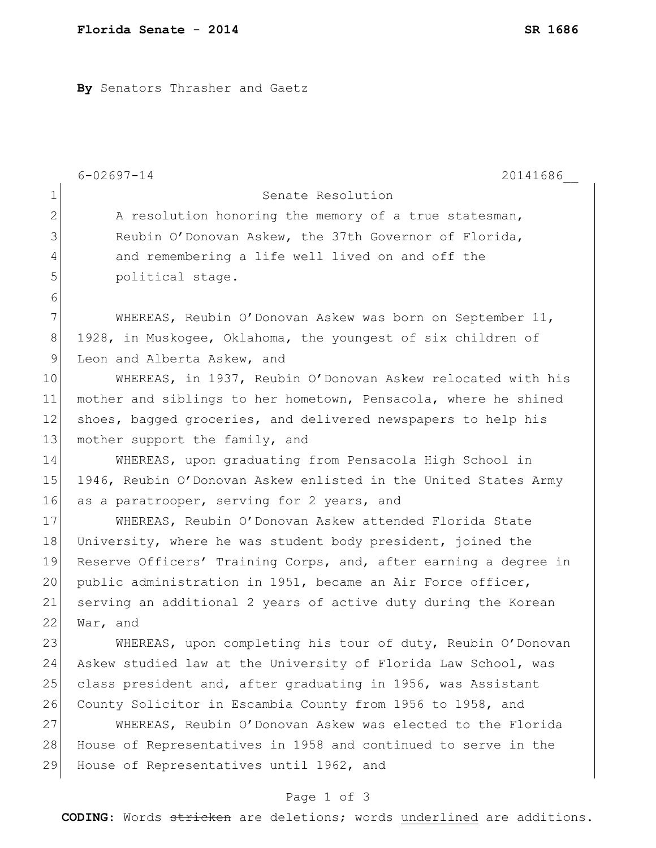**By** Senators Thrasher and Gaetz

|               | $6 - 02697 - 14$<br>20141686                                     |
|---------------|------------------------------------------------------------------|
| $\mathbf 1$   | Senate Resolution                                                |
| $\mathbf{2}$  | A resolution honoring the memory of a true statesman,            |
| 3             | Reubin O'Donovan Askew, the 37th Governor of Florida,            |
| 4             | and remembering a life well lived on and off the                 |
| 5             | political stage.                                                 |
| 6             |                                                                  |
| 7             | WHEREAS, Reubin O'Donovan Askew was born on September 11,        |
| $8\,$         | 1928, in Muskogee, Oklahoma, the youngest of six children of     |
| $\mathcal{G}$ | Leon and Alberta Askew, and                                      |
| 10            | WHEREAS, in 1937, Reubin O'Donovan Askew relocated with his      |
| 11            | mother and siblings to her hometown, Pensacola, where he shined  |
| 12            | shoes, bagged groceries, and delivered newspapers to help his    |
| 13            | mother support the family, and                                   |
| 14            | WHEREAS, upon graduating from Pensacola High School in           |
| 15            | 1946, Reubin O'Donovan Askew enlisted in the United States Army  |
| 16            | as a paratrooper, serving for 2 years, and                       |
| 17            | WHEREAS, Reubin O'Donovan Askew attended Florida State           |
| 18            | University, where he was student body president, joined the      |
| 19            | Reserve Officers' Training Corps, and, after earning a degree in |
| 20            | public administration in 1951, became an Air Force officer,      |
| 21            | serving an additional 2 years of active duty during the Korean   |
| 22            | War, and                                                         |
| 23            | WHEREAS, upon completing his tour of duty, Reubin O'Donovan      |
| 24            | Askew studied law at the University of Florida Law School, was   |
| 25            | class president and, after graduating in 1956, was Assistant     |
| 26            | County Solicitor in Escambia County from 1956 to 1958, and       |
| 27            | WHEREAS, Reubin O'Donovan Askew was elected to the Florida       |
| 28            | House of Representatives in 1958 and continued to serve in the   |
| 29            | House of Representatives until 1962, and                         |
|               | Page 1 of 3                                                      |

**CODING**: Words stricken are deletions; words underlined are additions.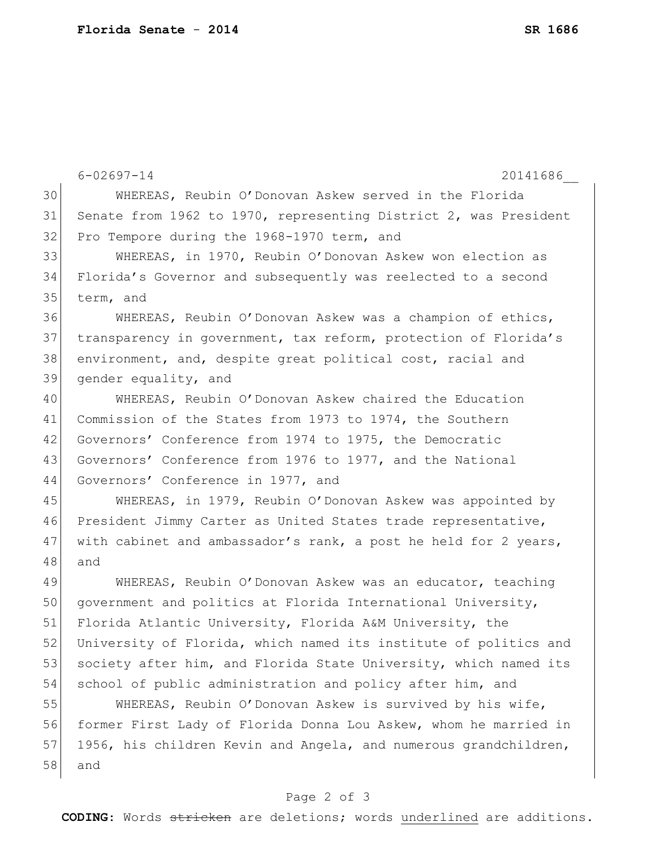6-02697-14 20141686\_\_ 30 WHEREAS, Reubin O'Donovan Askew served in the Florida 31 Senate from 1962 to 1970, representing District 2, was President 32 Pro Tempore during the 1968-1970 term, and 33 WHEREAS, in 1970, Reubin O'Donovan Askew won election as 34 Florida's Governor and subsequently was reelected to a second 35 term, and 36 WHEREAS, Reubin O'Donovan Askew was a champion of ethics, 37 transparency in government, tax reform, protection of Florida's 38 environment, and, despite great political cost, racial and 39 gender equality, and 40 WHEREAS, Reubin O'Donovan Askew chaired the Education 41 Commission of the States from 1973 to 1974, the Southern 42 Governors' Conference from 1974 to 1975, the Democratic 43 Governors' Conference from 1976 to 1977, and the National 44 Governors' Conference in 1977, and 45 WHEREAS, in 1979, Reubin O'Donovan Askew was appointed by 46 President Jimmy Carter as United States trade representative, 47 with cabinet and ambassador's rank, a post he held for 2 years, 48 and 49 WHEREAS, Reubin O'Donovan Askew was an educator, teaching 50 government and politics at Florida International University, 51 Florida Atlantic University, Florida A&M University, the 52 University of Florida, which named its institute of politics and 53 society after him, and Florida State University, which named its 54 school of public administration and policy after him, and 55 WHEREAS, Reubin O'Donovan Askew is survived by his wife, 56 former First Lady of Florida Donna Lou Askew, whom he married in 57 1956, his children Kevin and Angela, and numerous grandchildren, 58 and

## Page 2 of 3

**CODING**: Words stricken are deletions; words underlined are additions.